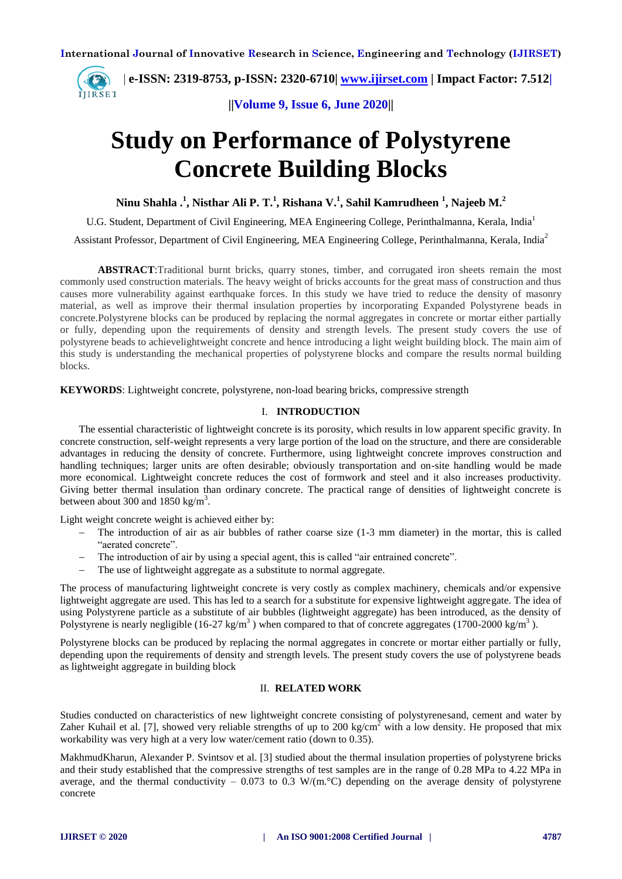

**||Volume 9, Issue 6, June 2020||** 

## **Study on Performance of Polystyrene Concrete Building Blocks**

**Ninu Shahla . 1 , Nisthar Ali P. T. 1 , Rishana V. 1 , Sahil Kamrudheen <sup>1</sup> , Najeeb M. 2** 

U.G. Student, Department of Civil Engineering, MEA Engineering College, Perinthalmanna, Kerala, India<sup>1</sup>

Assistant Professor, Department of Civil Engineering, MEA Engineering College, Perinthalmanna, Kerala, India<sup>2</sup>

**ABSTRACT**:Traditional burnt bricks, quarry stones, timber, and corrugated iron sheets remain the most commonly used construction materials. The heavy weight of bricks accounts for the great mass of construction and thus causes more vulnerability against earthquake forces. In this study we have tried to reduce the density of masonry material, as well as improve their thermal insulation properties by incorporating Expanded Polystyrene beads in concrete.Polystyrene blocks can be produced by replacing the normal aggregates in concrete or mortar either partially or fully, depending upon the requirements of density and strength levels. The present study covers the use of polystyrene beads to achievelightweight concrete and hence introducing a light weight building block. The main aim of this study is understanding the mechanical properties of polystyrene blocks and compare the results normal building blocks.

**KEYWORDS**: Lightweight concrete, polystyrene, non-load bearing bricks, compressive strength

## I. **INTRODUCTION**

The essential characteristic of lightweight concrete is its porosity, which results in low apparent specific gravity. In concrete construction, self-weight represents a very large portion of the load on the structure, and there are considerable advantages in reducing the density of concrete. Furthermore, using lightweight concrete improves construction and handling techniques; larger units are often desirable; obviously transportation and on-site handling would be made more economical. Lightweight concrete reduces the cost of formwork and steel and it also increases productivity. Giving better thermal insulation than ordinary concrete. The practical range of densities of lightweight concrete is between about 300 and  $1850 \text{ kg/m}^3$ .

Light weight concrete weight is achieved either by:

- The introduction of air as air bubbles of rather coarse size (1-3 mm diameter) in the mortar, this is called "aerated concrete".
- The introduction of air by using a special agent, this is called "air entrained concrete".
- The use of lightweight aggregate as a substitute to normal aggregate.

The process of manufacturing lightweight concrete is very costly as complex machinery, chemicals and/or expensive lightweight aggregate are used. This has led to a search for a substitute for expensive lightweight aggregate. The idea of using Polystyrene particle as a substitute of air bubbles (lightweight aggregate) has been introduced, as the density of Polystyrene is nearly negligible (16-27 kg/m<sup>3</sup>) when compared to that of concrete aggregates (1700-2000 kg/m<sup>3</sup>).

Polystyrene blocks can be produced by replacing the normal aggregates in concrete or mortar either partially or fully, depending upon the requirements of density and strength levels. The present study covers the use of polystyrene beads as lightweight aggregate in building block

## II. **RELATED WORK**

Studies conducted on characteristics of new lightweight concrete consisting of polystyrenesand, cement and water by Zaher Kuhail et al. [7], showed very reliable strengths of up to 200 kg/cm<sup>2</sup> with a low density. He proposed that mix workability was very high at a very low water/cement ratio (down to 0.35).

MakhmudKharun, Alexander P. Svintsov et al. [3] studied about the thermal insulation properties of polystyrene bricks and their study established that the compressive strengths of test samples are in the range of 0.28 MPa to 4.22 MPa in average, and the thermal conductivity – 0.073 to 0.3 W/(m. °C) depending on the average density of polystyrene concrete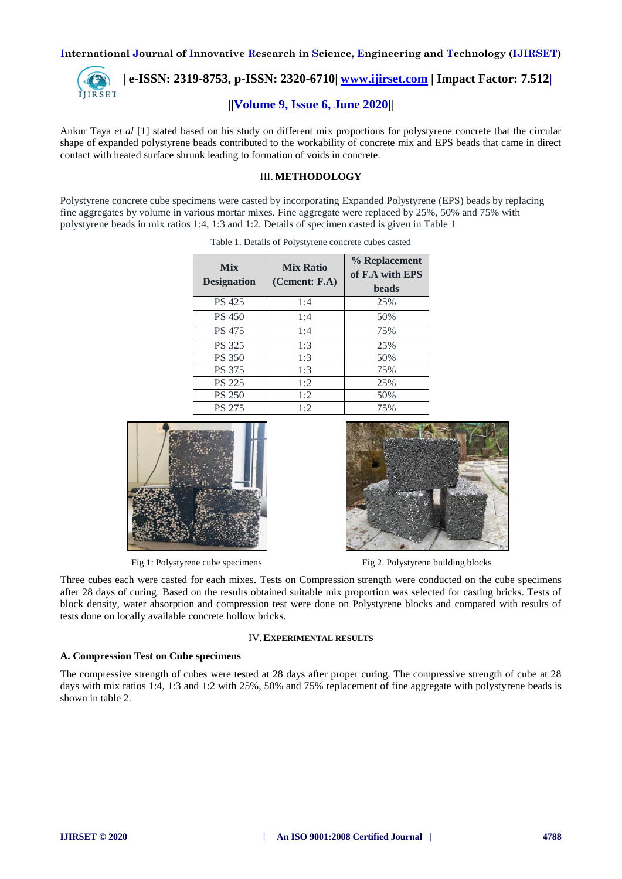

 **| e-ISSN: 2319-8753, p-ISSN: 2320-6710| [www.ijirset.com](http://www.ijirset.com/) | Impact Factor: 7.512|**

## **||Volume 9, Issue 6, June 2020||**

Ankur Taya *et al* [1] stated based on his study on different mix proportions for polystyrene concrete that the circular shape of expanded polystyrene beads contributed to the workability of concrete mix and EPS beads that came in direct contact with heated surface shrunk leading to formation of voids in concrete.

## III. **METHODOLOGY**

Polystyrene concrete cube specimens were casted by incorporating Expanded Polystyrene (EPS) beads by replacing fine aggregates by volume in various mortar mixes. Fine aggregate were replaced by 25%, 50% and 75% with polystyrene beads in mix ratios 1:4, 1:3 and 1:2. Details of specimen casted is given in Table 1

| <b>Mix</b><br><b>Designation</b> | <b>Mix Ratio</b><br>(Cement: FA) | % Replacement<br>of F.A with EPS<br><b>beads</b> |
|----------------------------------|----------------------------------|--------------------------------------------------|
| <b>PS 425</b>                    | 1:4                              | 25%                                              |
| <b>PS 450</b>                    | 1:4                              | 50%                                              |
| <b>PS 475</b>                    | 1:4                              | 75%                                              |
| <b>PS</b> 325                    | 1:3                              | 25%                                              |
| <b>PS 350</b>                    | 1:3                              | 50%                                              |
| <b>PS 375</b>                    | 1:3                              | 75%                                              |
| <b>PS 225</b>                    | 1:2                              | 25%                                              |
| <b>PS 250</b>                    | 1:2                              | 50%                                              |
| <b>PS 275</b>                    | 1:2                              | 75%                                              |

Table 1. Details of Polystyrene concrete cubes casted



Fig 1: Polystyrene cube specimens Fig 2. Polystyrene building blocks



Three cubes each were casted for each mixes. Tests on Compression strength were conducted on the cube specimens after 28 days of curing. Based on the results obtained suitable mix proportion was selected for casting bricks. Tests of block density, water absorption and compression test were done on Polystyrene blocks and compared with results of tests done on locally available concrete hollow bricks.

#### IV.**EXPERIMENTAL RESULTS**

#### **A. Compression Test on Cube specimens**

The compressive strength of cubes were tested at 28 days after proper curing. The compressive strength of cube at 28 days with mix ratios 1:4, 1:3 and 1:2 with 25%, 50% and 75% replacement of fine aggregate with polystyrene beads is shown in table 2.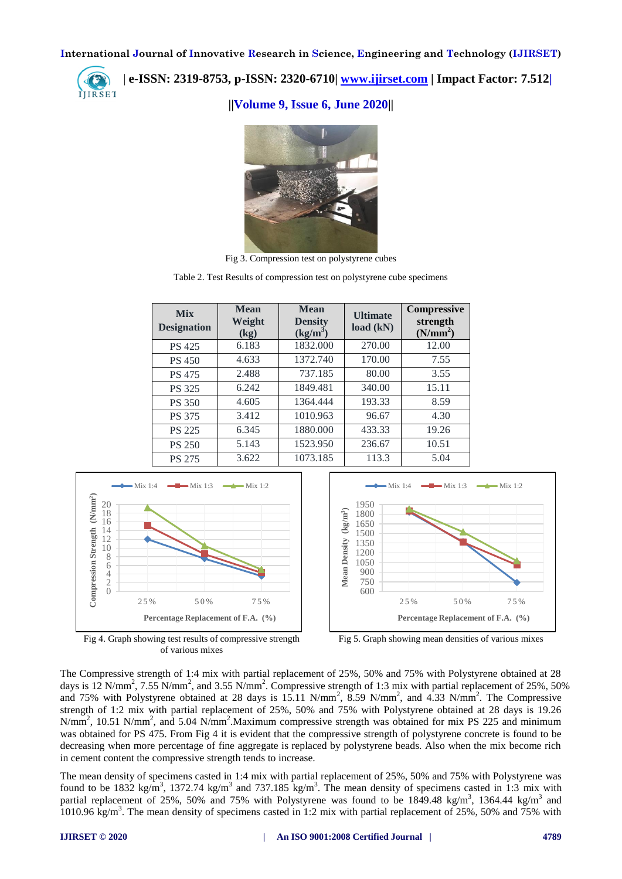

 **| e-ISSN: 2319-8753, p-ISSN: 2320-6710| [www.ijirset.com](http://www.ijirset.com/) | Impact Factor: 7.512|**

**||Volume 9, Issue 6, June 2020||** 



Fig 3. Compression test on polystyrene cubes

Table 2. Test Results of compression test on polystyrene cube specimens

| <b>Mix</b><br><b>Designation</b> | <b>Mean</b><br>Weight<br>(kg) | <b>Mean</b><br><b>Density</b><br>$(kg/m^3)$ | <b>Ultimate</b><br>load (kN) | <b>Compressive</b><br>strength<br>(N/mm <sup>2</sup> ) |
|----------------------------------|-------------------------------|---------------------------------------------|------------------------------|--------------------------------------------------------|
| <b>PS 425</b>                    | 6.183                         | 1832.000                                    | 270.00                       | 12.00                                                  |
| <b>PS 450</b>                    | 4.633                         | 1372.740                                    | 170.00                       | 7.55                                                   |
| <b>PS 475</b>                    | 2.488                         | 737.185                                     | 80.00                        | 3.55                                                   |
| <b>PS 325</b>                    | 6.242                         | 1849.481                                    | 340.00                       | 15.11                                                  |
| <b>PS 350</b>                    | 4.605                         | 1364.444                                    | 193.33                       | 8.59                                                   |
| PS 375                           | 3.412                         | 1010.963                                    | 96.67                        | 4.30                                                   |
| <b>PS 225</b>                    | 6.345                         | 1880.000                                    | 433.33                       | 19.26                                                  |
| <b>PS 250</b>                    | 5.143                         | 1523.950                                    | 236.67                       | 10.51                                                  |
| <b>PS 275</b>                    | 3.622                         | 1073.185                                    | 113.3                        | 5.04                                                   |





The Compressive strength of 1:4 mix with partial replacement of 25%, 50% and 75% with Polystyrene obtained at 28 days is 12 N/mm<sup>2</sup>, 7.55 N/mm<sup>2</sup>, and 3.55 N/mm<sup>2</sup>. Compressive strength of 1:3 mix with partial replacement of 25%, 50% and 75% with Polystyrene obtained at 28 days is 15.11 N/mm<sup>2</sup>, 8.59 N/mm<sup>2</sup>, and 4.33 N/mm<sup>2</sup>. The Compressive strength of 1:2 mix with partial replacement of 25%, 50% and 75% with Polystyrene obtained at 28 days is 19.26  $N/mm^2$ , 10.51 N/mm<sup>2</sup>, and 5.04 N/mm<sup>2</sup>. Maximum compressive strength was obtained for mix PS 225 and minimum was obtained for PS 475. From Fig 4 it is evident that the compressive strength of polystyrene concrete is found to be decreasing when more percentage of fine aggregate is replaced by polystyrene beads. Also when the mix become rich in cement content the compressive strength tends to increase.

The mean density of specimens casted in 1:4 mix with partial replacement of 25%, 50% and 75% with Polystyrene was found to be 1832 kg/m<sup>3</sup>, 1372.74 kg/m<sup>3</sup> and 737.185 kg/m<sup>3</sup>. The mean density of specimens casted in 1:3 mix with partial replacement of 25%, 50% and 75% with Polystyrene was found to be 1849.48 kg/m<sup>3</sup>, 1364.44 kg/m<sup>3</sup> and 1010.96 kg/m<sup>3</sup>. The mean density of specimens casted in 1:2 mix with partial replacement of 25%, 50% and 75% with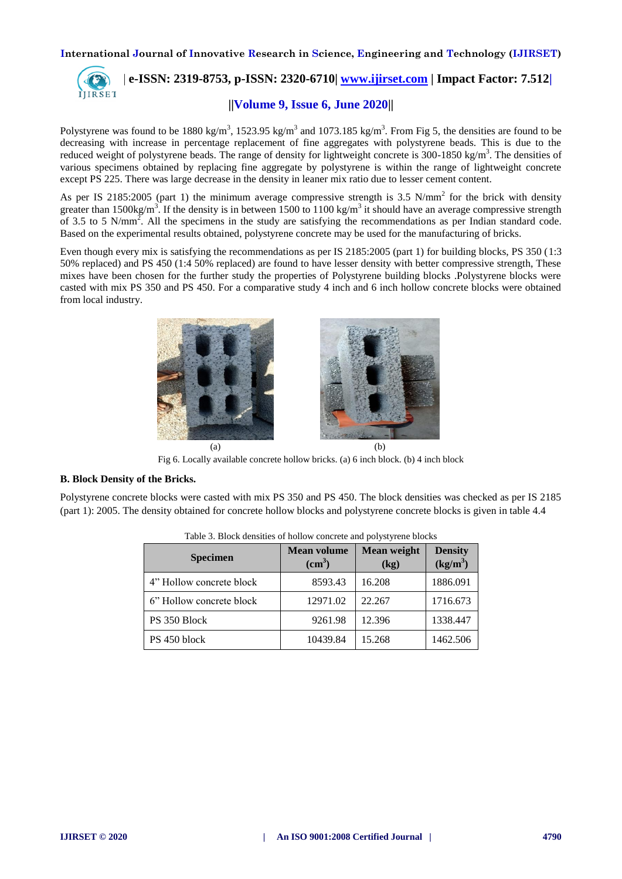

# **| e-ISSN: 2319-8753, p-ISSN: 2320-6710| [www.ijirset.com](http://www.ijirset.com/) | Impact Factor: 7.512|**

## **||Volume 9, Issue 6, June 2020||**

Polystyrene was found to be 1880 kg/m<sup>3</sup>, 1523.95 kg/m<sup>3</sup> and 1073.185 kg/m<sup>3</sup>. From Fig 5, the densities are found to be decreasing with increase in percentage replacement of fine aggregates with polystyrene beads. This is due to the reduced weight of polystyrene beads. The range of density for lightweight concrete is  $300$ -1850 kg/m<sup>3</sup>. The densities of various specimens obtained by replacing fine aggregate by polystyrene is within the range of lightweight concrete except PS 225. There was large decrease in the density in leaner mix ratio due to lesser cement content.

As per IS 2185:2005 (part 1) the minimum average compressive strength is 3.5 N/mm<sup>2</sup> for the brick with density greater than 1500kg/m<sup>3</sup>. If the density is in between 1500 to 1100 kg/m<sup>3</sup> it should have an average compressive strength of 3.5 to 5 N/mm<sup>2</sup>. All the specimens in the study are satisfying the recommendations as per Indian standard code. Based on the experimental results obtained, polystyrene concrete may be used for the manufacturing of bricks.

Even though every mix is satisfying the recommendations as per IS 2185:2005 (part 1) for building blocks, PS 350 (1:3 50% replaced) and PS 450 (1:4 50% replaced) are found to have lesser density with better compressive strength, These mixes have been chosen for the further study the properties of Polystyrene building blocks .Polystyrene blocks were casted with mix PS 350 and PS 450. For a comparative study 4 inch and 6 inch hollow concrete blocks were obtained from local industry.



Fig 6. Locally available concrete hollow bricks. (a) 6 inch block. (b) 4 inch block

## **B. Block Density of the Bricks.**

Polystyrene concrete blocks were casted with mix PS 350 and PS 450. The block densities was checked as per IS 2185 (part 1): 2005. The density obtained for concrete hollow blocks and polystyrene concrete blocks is given in table 4.4

| <b>Specimen</b>          | <b>Mean volume</b><br>(cm <sup>3</sup> ) | <b>Mean weight</b><br>$\left(\frac{kg}{g}\right)$ | <b>Density</b><br>(kg/m <sup>3</sup> ) |
|--------------------------|------------------------------------------|---------------------------------------------------|----------------------------------------|
| 4" Hollow concrete block | 8593.43                                  | 16.208                                            | 1886.091                               |
| 6" Hollow concrete block | 12971.02                                 | 22.267                                            | 1716.673                               |
| PS 350 Block             | 9261.98                                  | 12.396                                            | 1338.447                               |
| PS 450 block             | 10439.84                                 | 15.268                                            | 1462.506                               |

| Table 3. Block densities of hollow concrete and polystyrene blocks |  |  |  |
|--------------------------------------------------------------------|--|--|--|
|                                                                    |  |  |  |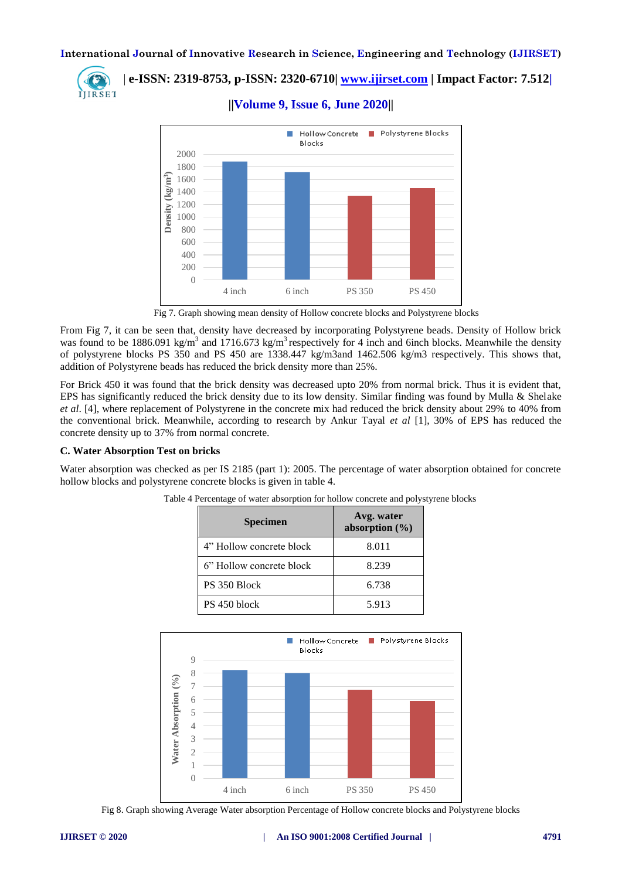

 **| e-ISSN: 2319-8753, p-ISSN: 2320-6710| [www.ijirset.com](http://www.ijirset.com/) | Impact Factor: 7.512|**

**||Volume 9, Issue 6, June 2020||** 



Fig 7. Graph showing mean density of Hollow concrete blocks and Polystyrene blocks

From Fig 7, it can be seen that, density have decreased by incorporating Polystyrene beads. Density of Hollow brick was found to be 1886.091 kg/m<sup>3</sup> and 1716.673 kg/m<sup>3</sup> respectively for 4 inch and 6inch blocks. Meanwhile the density of polystyrene blocks PS 350 and PS 450 are 1338.447 kg/m3and 1462.506 kg/m3 respectively. This shows that, addition of Polystyrene beads has reduced the brick density more than 25%.

For Brick 450 it was found that the brick density was decreased upto 20% from normal brick. Thus it is evident that, EPS has significantly reduced the brick density due to its low density. Similar finding was found by Mulla & Shelake *et al*. [4], where replacement of Polystyrene in the concrete mix had reduced the brick density about 29% to 40% from the conventional brick. Meanwhile, according to research by Ankur Tayal *et al* [1], 30% of EPS has reduced the concrete density up to 37% from normal concrete.

## **C. Water Absorption Test on bricks**

Water absorption was checked as per IS 2185 (part 1): 2005. The percentage of water absorption obtained for concrete hollow blocks and polystyrene concrete blocks is given in table 4.

| <b>Specimen</b>          | Avg. water<br>absorption $(\% )$ |  |
|--------------------------|----------------------------------|--|
| 4" Hollow concrete block | 8.011                            |  |
| 6" Hollow concrete block | 8.239                            |  |
| PS 350 Block             | 6.738                            |  |
| PS 450 block             | 5.913                            |  |

Table 4 Percentage of water absorption for hollow concrete and polystyrene blocks



Fig 8. Graph showing Average Water absorption Percentage of Hollow concrete blocks and Polystyrene blocks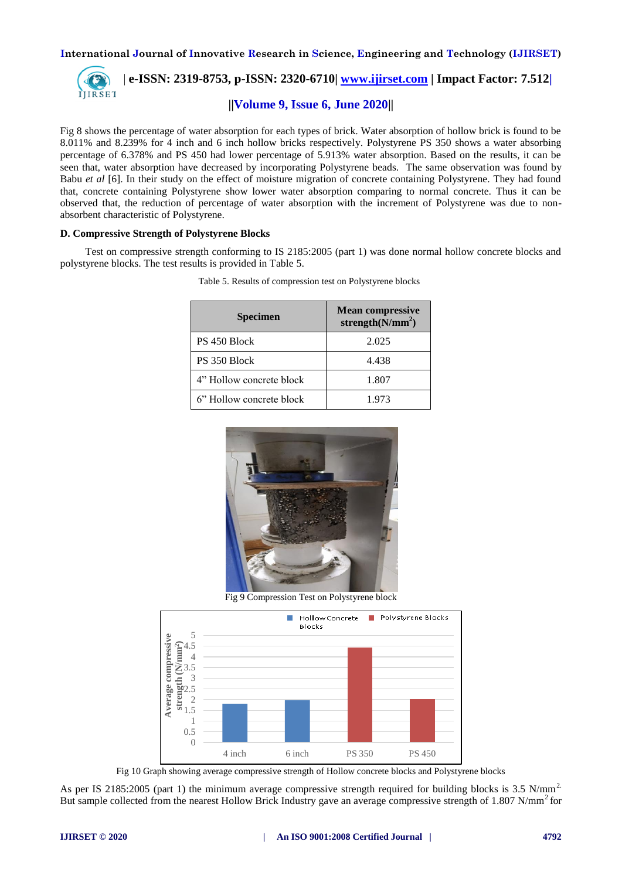

 **| e-ISSN: 2319-8753, p-ISSN: 2320-6710| [www.ijirset.com](http://www.ijirset.com/) | Impact Factor: 7.512|**

## **||Volume 9, Issue 6, June 2020||**

Fig 8 shows the percentage of water absorption for each types of brick. Water absorption of hollow brick is found to be 8.011% and 8.239% for 4 inch and 6 inch hollow bricks respectively. Polystyrene PS 350 shows a water absorbing percentage of 6.378% and PS 450 had lower percentage of 5.913% water absorption. Based on the results, it can be seen that, water absorption have decreased by incorporating Polystyrene beads. The same observation was found by Babu *et al* [6]. In their study on the effect of moisture migration of concrete containing Polystyrene. They had found that, concrete containing Polystyrene show lower water absorption comparing to normal concrete. Thus it can be observed that, the reduction of percentage of water absorption with the increment of Polystyrene was due to nonabsorbent characteristic of Polystyrene.

#### **D. Compressive Strength of Polystyrene Blocks**

Test on compressive strength conforming to IS 2185:2005 (part 1) was done normal hollow concrete blocks and polystyrene blocks. The test results is provided in Table 5.

| <b>Specimen</b>          | <b>Mean compressive</b><br>strength $(N/mm^2)$ |  |
|--------------------------|------------------------------------------------|--|
| PS 450 Block             | 2.025                                          |  |
| PS 350 Block             | 4.438                                          |  |
| 4" Hollow concrete block | 1.807                                          |  |
| 6" Hollow concrete block | 1.973                                          |  |

Table 5. Results of compression test on Polystyrene blocks



Fig 9 Compression Test on Polystyrene block



Fig 10 Graph showing average compressive strength of Hollow concrete blocks and Polystyrene blocks

As per IS 2185:2005 (part 1) the minimum average compressive strength required for building blocks is 3.5 N/mm<sup>2.</sup> But sample collected from the nearest Hollow Brick Industry gave an average compressive strength of  $1.807$  N/mm<sup>2</sup> for